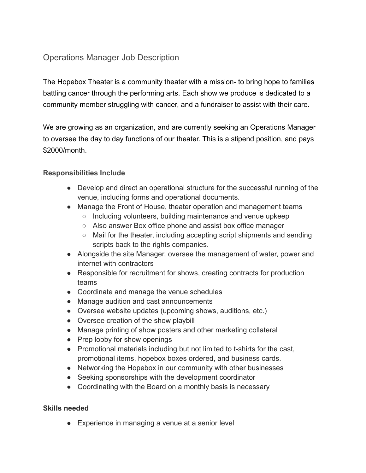## Operations Manager Job Description

The Hopebox Theater is a community theater with a mission- to bring hope to families battling cancer through the performing arts. Each show we produce is dedicated to a community member struggling with cancer, and a fundraiser to assist with their care.

We are growing as an organization, and are currently seeking an Operations Manager to oversee the day to day functions of our theater. This is a stipend position, and pays \$2000/month.

## **Responsibilities Include**

- Develop and direct an operational structure for the successful running of the venue, including forms and operational documents.
- Manage the Front of House, theater operation and management teams
	- Including volunteers, building maintenance and venue upkeep
	- Also answer Box office phone and assist box office manager
	- Mail for the theater, including accepting script shipments and sending scripts back to the rights companies.
- Alongside the site Manager, oversee the management of water, power and internet with contractors
- Responsible for recruitment for shows, creating contracts for production teams
- Coordinate and manage the venue schedules
- Manage audition and cast announcements
- Oversee website updates (upcoming shows, auditions, etc.)
- Oversee creation of the show playbill
- Manage printing of show posters and other marketing collateral
- Prep lobby for show openings
- Promotional materials including but not limited to t-shirts for the cast, promotional items, hopebox boxes ordered, and business cards.
- Networking the Hopebox in our community with other businesses
- Seeking sponsorships with the development coordinator
- Coordinating with the Board on a monthly basis is necessary

## **Skills needed**

● Experience in managing a venue at a senior level